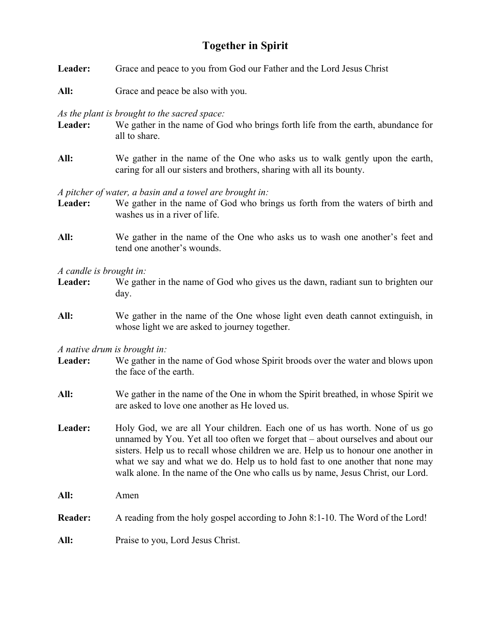## **Together in Spirit**

- **Leader:** Grace and peace to you from God our Father and the Lord Jesus Christ
- **All:** Grace and peace be also with you.

*As the plant is brought to the sacred space:* 

- Leader: We gather in the name of God who brings forth life from the earth, abundance for all to share.
- **All:** We gather in the name of the One who asks us to walk gently upon the earth, caring for all our sisters and brothers, sharing with all its bounty.

*A pitcher of water, a basin and a towel are brought in:*

- Leader: We gather in the name of God who brings us forth from the waters of birth and washes us in a river of life.
- **All:** We gather in the name of the One who asks us to wash one another's feet and tend one another's wounds.

*A candle is brought in:*

- **Leader:** We gather in the name of God who gives us the dawn, radiant sun to brighten our day.
- **All:** We gather in the name of the One whose light even death cannot extinguish, in whose light we are asked to journey together.

*A native drum is brought in:*

- Leader: We gather in the name of God whose Spirit broods over the water and blows upon the face of the earth.
- **All:** We gather in the name of the One in whom the Spirit breathed, in whose Spirit we are asked to love one another as He loved us.
- Leader: Holy God, we are all Your children. Each one of us has worth. None of us go unnamed by You. Yet all too often we forget that – about ourselves and about our sisters. Help us to recall whose children we are. Help us to honour one another in what we say and what we do. Help us to hold fast to one another that none may walk alone. In the name of the One who calls us by name, Jesus Christ, our Lord.

**All:** Amen

**Reader:** A reading from the holy gospel according to John 8:1-10. The Word of the Lord!

**All:** Praise to you, Lord Jesus Christ.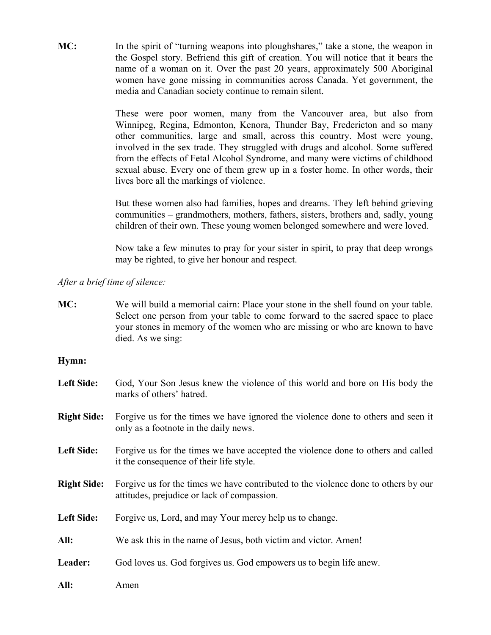**MC:** In the spirit of "turning weapons into ploughshares," take a stone, the weapon in the Gospel story. Befriend this gift of creation. You will notice that it bears the name of a woman on it. Over the past 20 years, approximately 500 Aboriginal women have gone missing in communities across Canada. Yet government, the media and Canadian society continue to remain silent.

> These were poor women, many from the Vancouver area, but also from Winnipeg, Regina, Edmonton, Kenora, Thunder Bay, Fredericton and so many other communities, large and small, across this country. Most were young, involved in the sex trade. They struggled with drugs and alcohol. Some suffered from the effects of Fetal Alcohol Syndrome, and many were victims of childhood sexual abuse. Every one of them grew up in a foster home. In other words, their lives bore all the markings of violence.

> But these women also had families, hopes and dreams. They left behind grieving communities – grandmothers, mothers, fathers, sisters, brothers and, sadly, young children of their own. These young women belonged somewhere and were loved.

> Now take a few minutes to pray for your sister in spirit, to pray that deep wrongs may be righted, to give her honour and respect.

*After a brief time of silence:*

**MC:** We will build a memorial cairn: Place your stone in the shell found on your table. Select one person from your table to come forward to the sacred space to place your stones in memory of the women who are missing or who are known to have died. As we sing:

## **Hymn:**

- **Left Side:** God, Your Son Jesus knew the violence of this world and bore on His body the marks of others' hatred.
- **Right Side:** Forgive us for the times we have ignored the violence done to others and seen it only as a footnote in the daily news.
- Left Side: Forgive us for the times we have accepted the violence done to others and called it the consequence of their life style.
- **Right Side:** Forgive us for the times we have contributed to the violence done to others by our attitudes, prejudice or lack of compassion.
- Left Side: Forgive us, Lord, and may Your mercy help us to change.
- All: We ask this in the name of Jesus, both victim and victor. Amen!
- Leader: God loves us. God forgives us. God empowers us to begin life anew.
- **All:** Amen